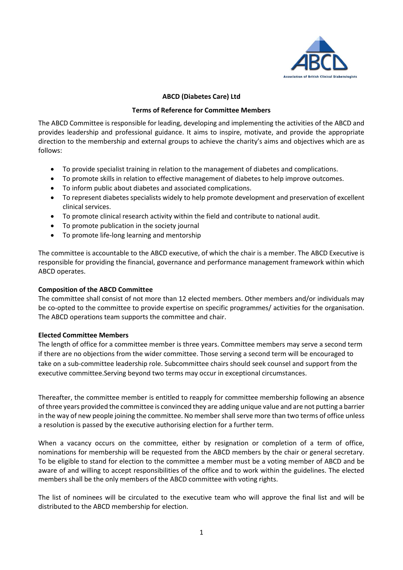

### **ABCD (Diabetes Care) Ltd**

### **Terms of Reference for Committee Members**

The ABCD Committee is responsible for leading, developing and implementing the activities of the ABCD and provides leadership and professional guidance. It aims to inspire, motivate, and provide the appropriate direction to the membership and external groups to achieve the charity's aims and objectives which are as follows:

- To provide specialist training in relation to the management of diabetes and complications.
- To promote skills in relation to effective management of diabetes to help improve outcomes.
- To inform public about diabetes and associated complications.
- To represent diabetes specialists widely to help promote development and preservation of excellent clinical services.
- To promote clinical research activity within the field and contribute to national audit.
- To promote publication in the society journal
- To promote life-long learning and mentorship

The committee is accountable to the ABCD executive, of which the chair is a member. The ABCD Executive is responsible for providing the financial, governance and performance management framework within which ABCD operates.

### **Composition of the ABCD Committee**

The committee shall consist of not more than 12 elected members. Other members and/or individuals may be co-opted to the committee to provide expertise on specific programmes/ activities for the organisation. The ABCD operations team supports the committee and chair.

#### **Elected Committee Members**

The length of office for a committee member is three years. Committee members may serve a second term if there are no objections from the wider committee. Those serving a second term will be encouraged to take on a sub-committee leadership role. Subcommittee chairs should seek counsel and support from the executive committee.Serving beyond two terms may occur in exceptional circumstances.

Thereafter, the committee member is entitled to reapply for committee membership following an absence of three years provided the committee is convinced they are adding unique value and are not putting a barrier in the way of new people joining the committee. No member shall serve more than two terms of office unless a resolution is passed by the executive authorising election for a further term.

When a vacancy occurs on the committee, either by resignation or completion of a term of office, nominations for membership will be requested from the ABCD members by the chair or general secretary. To be eligible to stand for election to the committee a member must be a voting member of ABCD and be aware of and willing to accept responsibilities of the office and to work within the guidelines. The elected members shall be the only members of the ABCD committee with voting rights.

The list of nominees will be circulated to the executive team who will approve the final list and will be distributed to the ABCD membership for election.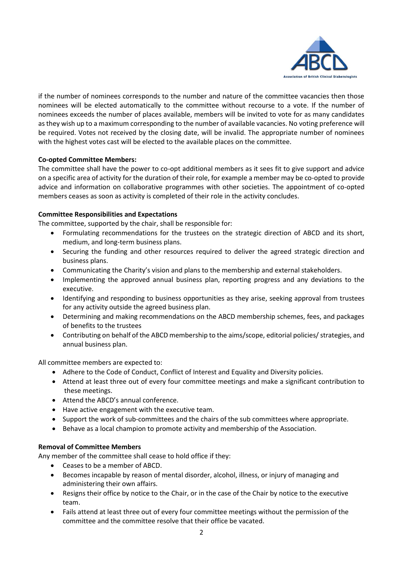

if the number of nominees corresponds to the number and nature of the committee vacancies then those nominees will be elected automatically to the committee without recourse to a vote. If the number of nominees exceeds the number of places available, members will be invited to vote for as many candidates as they wish up to a maximum corresponding to the number of available vacancies. No voting preference will be required. Votes not received by the closing date, will be invalid. The appropriate number of nominees with the highest votes cast will be elected to the available places on the committee.

# **Co-opted Committee Members:**

The committee shall have the power to co-opt additional members as it sees fit to give support and advice on a specific area of activity for the duration of their role, for example a member may be co-opted to provide advice and information on collaborative programmes with other societies. The appointment of co-opted members ceases as soon as activity is completed of their role in the activity concludes.

## **Committee Responsibilities and Expectations**

The committee, supported by the chair, shall be responsible for:

- Formulating recommendations for the trustees on the strategic direction of ABCD and its short, medium, and long-term business plans.
- Securing the funding and other resources required to deliver the agreed strategic direction and business plans.
- Communicating the Charity's vision and plans to the membership and external stakeholders.
- Implementing the approved annual business plan, reporting progress and any deviations to the executive.
- Identifying and responding to business opportunities as they arise, seeking approval from trustees for any activity outside the agreed business plan.
- Determining and making recommendations on the ABCD membership schemes, fees, and packages of benefits to the trustees
- Contributing on behalf of the ABCD membership to the aims/scope, editorial policies/ strategies, and annual business plan.

All committee members are expected to:

- Adhere to the Code of Conduct, Conflict of Interest and Equality and Diversity policies.
- Attend at least three out of every four committee meetings and make a significant contribution to these meetings.
- Attend the ABCD's annual conference.
- Have active engagement with the executive team.
- Support the work of sub-committees and the chairs of the sub committees where appropriate.
- Behave as a local champion to promote activity and membership of the Association.

### **Removal of Committee Members**

Any member of the committee shall cease to hold office if they:

- Ceases to be a member of ABCD.
- Becomes incapable by reason of mental disorder, alcohol, illness, or injury of managing and administering their own affairs.
- Resigns their office by notice to the Chair, or in the case of the Chair by notice to the executive team.
- Fails attend at least three out of every four committee meetings without the permission of the committee and the committee resolve that their office be vacated.